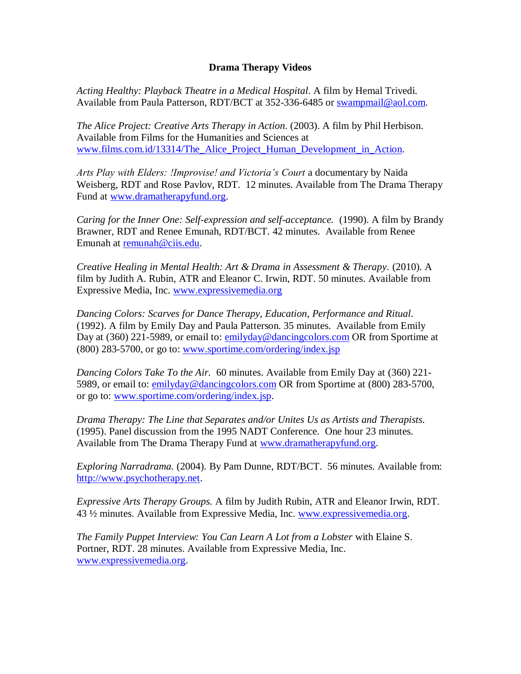## **Drama Therapy Videos**

*Acting Healthy: Playback Theatre in a Medical Hospital*. A film by Hemal Trivedi. Available from Paula Patterson, RDT/BCT at 352-336-6485 or [swampmail@aol.com.](mailto:swampmail@aol.com)

*The Alice Project: Creative Arts Therapy in Action*. (2003). A film by Phil Herbison. Available from Films for the Humanities and Sciences at [www.films.com.id/13314/The\\_Alice\\_Project\\_Human\\_Development\\_in\\_Action.](http://www.films.com.id/13314/The_Alice_Project_Human_Development_in_Action)

*Arts Play with Elders: !Improvise! and Victoria's Court* a documentary by Naida Weisberg, RDT and Rose Pavlov, RDT. 12 minutes. Available from The Drama Therapy Fund at [www.dramatherapyfund.org.](http://www.dramatherapyfund.org/)

*Caring for the Inner One: Self-expression and self-acceptance.* (1990). A film by Brandy Brawner, RDT and Renee Emunah, RDT/BCT. 42 minutes. Available from Renee Emunah at [remunah@ciis.edu.](mailto:remunah@ciis.edu)

*Creative Healing in Mental Health: Art & Drama in Assessment & Therapy.* (2010). A film by Judith A. Rubin, ATR and Eleanor C. Irwin, RDT. 50 minutes. Available from Expressive Media, Inc. [www.expressivemedia.org](http://www.expressivemedia.org/)

*Dancing Colors: Scarves for Dance Therapy, Education, Performance and Ritual.* (1992). A film by Emily Day and Paula Patterson. 35 minutes. Available from Emily Day at (360) 221-5989, or email to: [emilyday@dancingcolors.com](mailto:emilyday@dancingcolors.com) OR from Sportime at (800) 283-5700, or go to: [www.sportime.com/ordering/index.jsp](https://www.sportime.com/ordering/index.jsp)

*Dancing Colors Take To the Air.* 60 minutes. Available from Emily Day at (360) 221- 5989, or email to: [emilyday@dancingcolors.com](mailto:emilyday@dancingcolors.com) OR from Sportime at (800) 283-5700, or go to: [www.sportime.com/ordering/index.jsp.](https://www.sportime.com/ordering/index.jsp)

*Drama Therapy: The Line that Separates and/or Unites Us as Artists and Therapists.* (1995). Panel discussion from the 1995 NADT Conference. One hour 23 minutes. Available from The Drama Therapy Fund at [www.dramatherapyfund.org.](http://www.dramatherapyfund.org/)

*Exploring Narradrama.* (2004). By Pam Dunne, RDT/BCT. 56 minutes. Available from: [http://www.psychotherapy.net.](http://www.psychotherapy.net/)

*Expressive Arts Therapy Groups.* A film by Judith Rubin, ATR and Eleanor Irwin, RDT. 43 ½ minutes. Available from Expressive Media, Inc. [www.expressivemedia.org.](http://www.expressivemedia.org/)

*The Family Puppet Interview: You Can Learn A Lot from a Lobster* with Elaine S. Portner, RDT. 28 minutes. Available from Expressive Media, Inc. [www.expressivemedia.org.](http://www.expressivemedia.org/)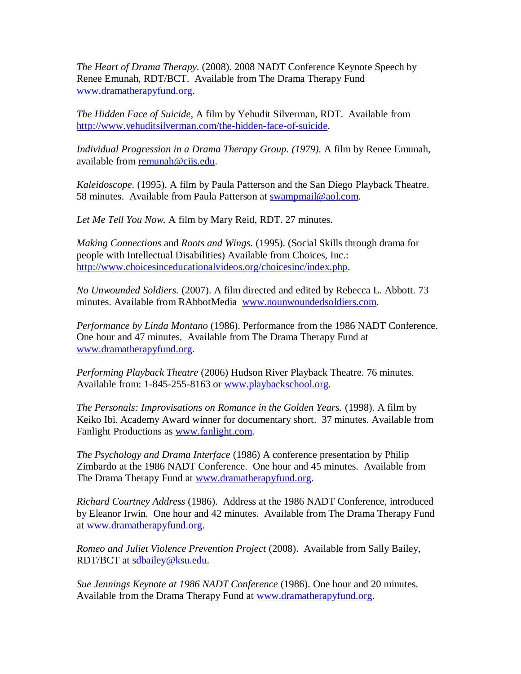*The Heart of Drama Therapy.* (2008). 2008 NADT Conference Keynote Speech by Renee Emunah, RDT/BCT. Available from The Drama Therapy Fund [www.dramatherapyfund.org.](http://www.dramatherapyfund.org/)

*The Hidden Face of Suicide,* A film by Yehudit Silverman, RDT. Available from [http://www.yehuditsilverman.com/the-hidden-face-of-suicide.](http://www.yehuditsilverman.com/the-hidden-face-of-suicide)

*Individual Progression in a Drama Therapy Group. (1979).* A film by Renee Emunah, available from [remunah@ciis.edu.](mailto:remunah@ciis.edu)

*Kaleidoscope.* (1995). A film by Paula Patterson and the San Diego Playback Theatre. 58 minutes. Available from Paula Patterson at [swampmail@aol.com.](mailto:swampmail@aol.com)

*Let Me Tell You Now.* A film by Mary Reid, RDT. 27 minutes.

*Making Connections* and *Roots and Wings.* (1995). (Social Skills through drama for people with Intellectual Disabilities) Available from Choices, Inc.: [http://www.choicesinceducationalvideos.org/choicesinc/index.php.](http://www.choicesinceducationalvideos.org/choicesinc/index.php)

*No Unwounded Soldiers.* (2007). A film directed and edited by Rebecca L. Abbott. 73 minutes. Available from RAbbotMedia [www.nounwoundedsoldiers.com.](http://www.nounwoundedsoldiers.com/)

*Performance by Linda Montano* (1986). Performance from the 1986 NADT Conference. One hour and 47 minutes. Available from The Drama Therapy Fund at [www.dramatherapyfund.org.](http://www.dramatherapyfund.org/)

*Performing Playback Theatre* (2006) Hudson River Playback Theatre. 76 minutes. Available from: 1-845-255-8163 or [www.playbackschool.org.](http://www.playbackschool.org/)

*The Personals: Improvisations on Romance in the Golden Years.* (1998). A film by Keiko Ibi. Academy Award winner for documentary short. 37 minutes. Available from Fanlight Productions as [www.fanlight.com.](http://www.fanlight.com/)

*The Psychology and Drama Interface* (1986) A conference presentation by Philip Zimbardo at the 1986 NADT Conference. One hour and 45 minutes. Available from The Drama Therapy Fund at [www.dramatherapyfund.org.](http://www.dramatherapyfund.org/)

*Richard Courtney Address* (1986). Address at the 1986 NADT Conference, introduced by Eleanor Irwin. One hour and 42 minutes. Available from The Drama Therapy Fund at [www.dramatherapyfund.org.](http://www.dramatherapyfund.org/)

*Romeo and Juliet Violence Prevention Project* (2008). Available from Sally Bailey, RDT/BCT at [sdbailey@ksu.edu.](mailto:sdbailey@ksu.edu)

*Sue Jennings Keynote at 1986 NADT Conference* (1986). One hour and 20 minutes. Available from the Drama Therapy Fund at [www.dramatherapyfund.org.](http://www.dramatherapyfund.org/)